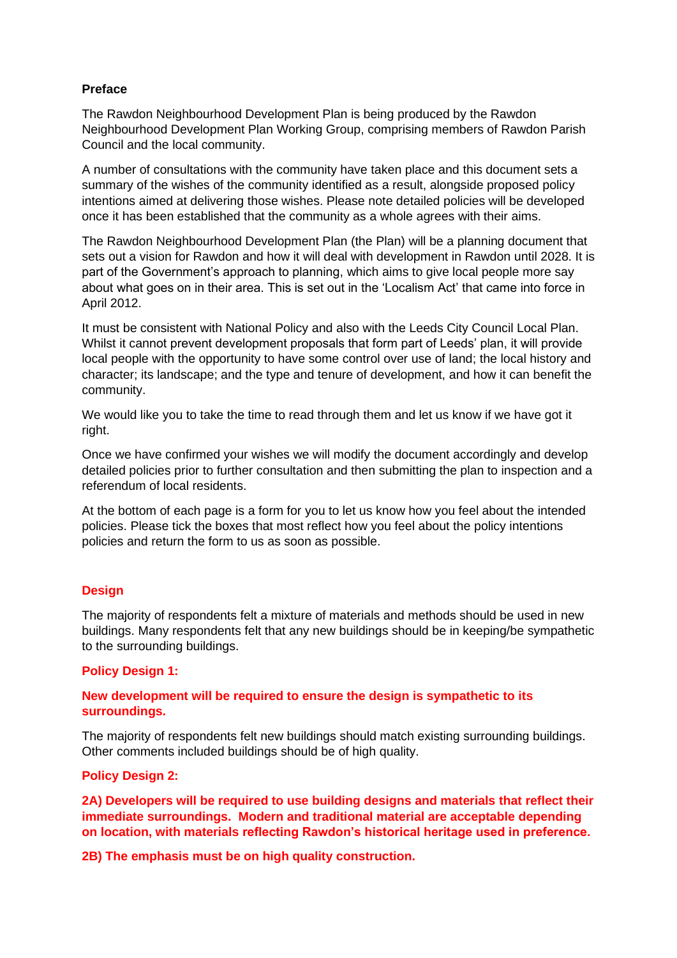# **Preface**

The Rawdon Neighbourhood Development Plan is being produced by the Rawdon Neighbourhood Development Plan Working Group, comprising members of Rawdon Parish Council and the local community.

A number of consultations with the community have taken place and this document sets a summary of the wishes of the community identified as a result, alongside proposed policy intentions aimed at delivering those wishes. Please note detailed policies will be developed once it has been established that the community as a whole agrees with their aims.

The Rawdon Neighbourhood Development Plan (the Plan) will be a planning document that sets out a vision for Rawdon and how it will deal with development in Rawdon until 2028. It is part of the Government's approach to planning, which aims to give local people more say about what goes on in their area. This is set out in the 'Localism Act' that came into force in April 2012.

It must be consistent with National Policy and also with the Leeds City Council Local Plan. Whilst it cannot prevent development proposals that form part of Leeds' plan, it will provide local people with the opportunity to have some control over use of land; the local history and character; its landscape; and the type and tenure of development, and how it can benefit the community.

We would like you to take the time to read through them and let us know if we have got it right.

Once we have confirmed your wishes we will modify the document accordingly and develop detailed policies prior to further consultation and then submitting the plan to inspection and a referendum of local residents.

At the bottom of each page is a form for you to let us know how you feel about the intended policies. Please tick the boxes that most reflect how you feel about the policy intentions policies and return the form to us as soon as possible.

# **Design**

The majority of respondents felt a mixture of materials and methods should be used in new buildings. Many respondents felt that any new buildings should be in keeping/be sympathetic to the surrounding buildings.

## **Policy Design 1:**

# **New development will be required to ensure the design is sympathetic to its surroundings.**

The majority of respondents felt new buildings should match existing surrounding buildings. Other comments included buildings should be of high quality.

## **Policy Design 2:**

**2A) Developers will be required to use building designs and materials that reflect their immediate surroundings. Modern and traditional material are acceptable depending on location, with materials reflecting Rawdon's historical heritage used in preference.**

**2B) The emphasis must be on high quality construction.**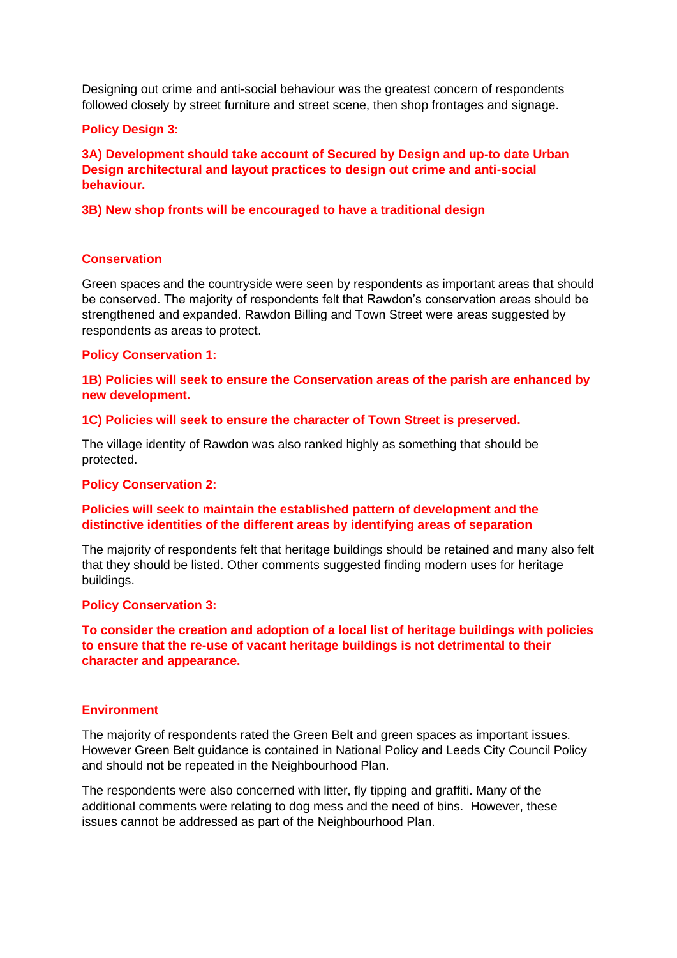Designing out crime and anti-social behaviour was the greatest concern of respondents followed closely by street furniture and street scene, then shop frontages and signage.

## **Policy Design 3:**

**3A) Development should take account of Secured by Design and up-to date Urban Design architectural and layout practices to design out crime and anti-social behaviour.** 

## **3B) New shop fronts will be encouraged to have a traditional design**

#### **Conservation**

Green spaces and the countryside were seen by respondents as important areas that should be conserved. The majority of respondents felt that Rawdon's conservation areas should be strengthened and expanded. Rawdon Billing and Town Street were areas suggested by respondents as areas to protect.

## **Policy Conservation 1:**

**1B) Policies will seek to ensure the Conservation areas of the parish are enhanced by new development.**

# **1C) Policies will seek to ensure the character of Town Street is preserved.**

The village identity of Rawdon was also ranked highly as something that should be protected.

#### **Policy Conservation 2:**

## **Policies will seek to maintain the established pattern of development and the distinctive identities of the different areas by identifying areas of separation**

The majority of respondents felt that heritage buildings should be retained and many also felt that they should be listed. Other comments suggested finding modern uses for heritage buildings.

#### **Policy Conservation 3:**

**To consider the creation and adoption of a local list of heritage buildings with policies to ensure that the re-use of vacant heritage buildings is not detrimental to their character and appearance.**

#### **Environment**

The majority of respondents rated the Green Belt and green spaces as important issues. However Green Belt guidance is contained in National Policy and Leeds City Council Policy and should not be repeated in the Neighbourhood Plan.

The respondents were also concerned with litter, fly tipping and graffiti. Many of the additional comments were relating to dog mess and the need of bins. However, these issues cannot be addressed as part of the Neighbourhood Plan.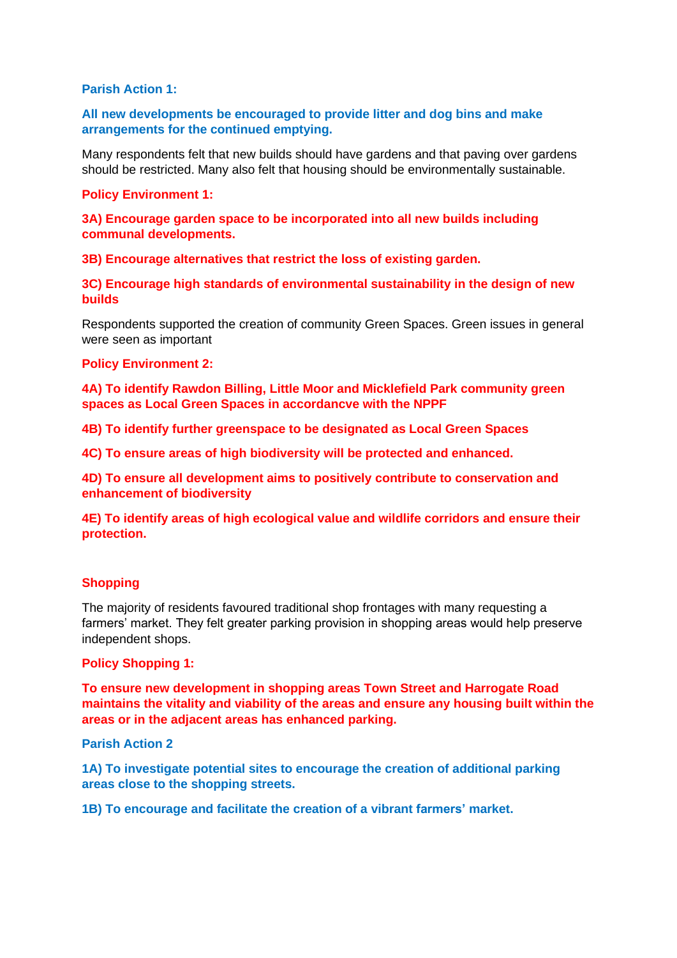## **Parish Action 1:**

# **All new developments be encouraged to provide litter and dog bins and make arrangements for the continued emptying.**

Many respondents felt that new builds should have gardens and that paving over gardens should be restricted. Many also felt that housing should be environmentally sustainable.

#### **Policy Environment 1:**

**3A) Encourage garden space to be incorporated into all new builds including communal developments.**

**3B) Encourage alternatives that restrict the loss of existing garden.**

**3C) Encourage high standards of environmental sustainability in the design of new builds**

Respondents supported the creation of community Green Spaces. Green issues in general were seen as important

#### **Policy Environment 2:**

**4A) To identify Rawdon Billing, Little Moor and Micklefield Park community green spaces as Local Green Spaces in accordancve with the NPPF**

**4B) To identify further greenspace to be designated as Local Green Spaces**

**4C) To ensure areas of high biodiversity will be protected and enhanced.**

**4D) To ensure all development aims to positively contribute to conservation and enhancement of biodiversity**

**4E) To identify areas of high ecological value and wildlife corridors and ensure their protection.**

#### **Shopping**

The majority of residents favoured traditional shop frontages with many requesting a farmers' market. They felt greater parking provision in shopping areas would help preserve independent shops.

#### **Policy Shopping 1:**

**To ensure new development in shopping areas Town Street and Harrogate Road maintains the vitality and viability of the areas and ensure any housing built within the areas or in the adjacent areas has enhanced parking.**

**Parish Action 2**

**1A) To investigate potential sites to encourage the creation of additional parking areas close to the shopping streets.**

**1B) To encourage and facilitate the creation of a vibrant farmers' market.**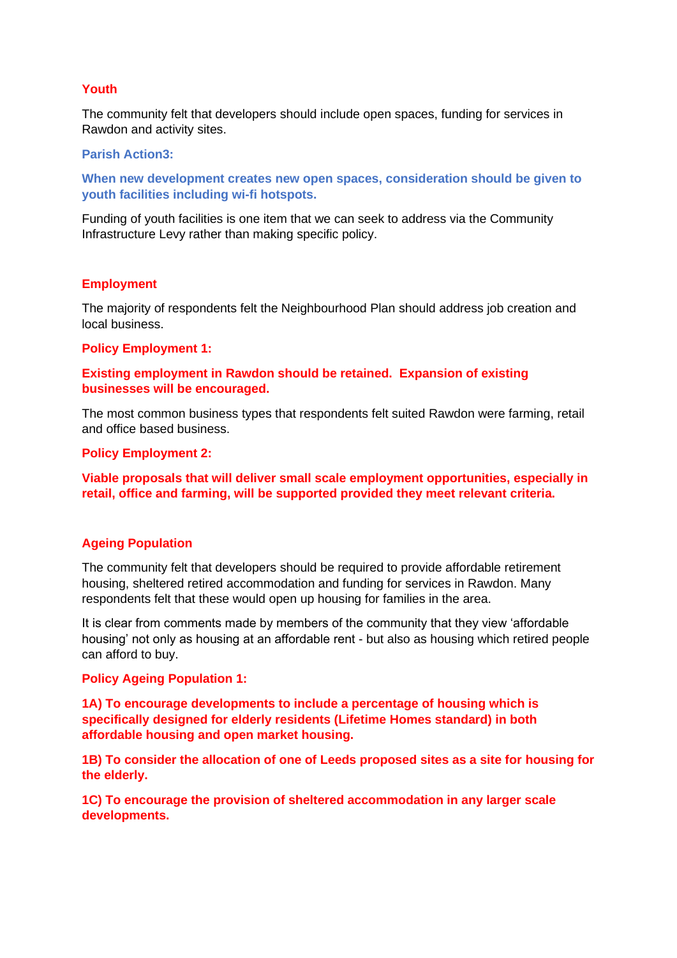## **Youth**

The community felt that developers should include open spaces, funding for services in Rawdon and activity sites.

### **Parish Action3:**

**When new development creates new open spaces, consideration should be given to youth facilities including wi-fi hotspots.**

Funding of youth facilities is one item that we can seek to address via the Community Infrastructure Levy rather than making specific policy.

## **Employment**

The majority of respondents felt the Neighbourhood Plan should address job creation and local business.

#### **Policy Employment 1:**

## **Existing employment in Rawdon should be retained. Expansion of existing businesses will be encouraged.**

The most common business types that respondents felt suited Rawdon were farming, retail and office based business.

#### **Policy Employment 2:**

**Viable proposals that will deliver small scale employment opportunities, especially in retail, office and farming, will be supported provided they meet relevant criteria.**

## **Ageing Population**

The community felt that developers should be required to provide affordable retirement housing, sheltered retired accommodation and funding for services in Rawdon. Many respondents felt that these would open up housing for families in the area.

It is clear from comments made by members of the community that they view 'affordable housing' not only as housing at an affordable rent - but also as housing which retired people can afford to buy.

## **Policy Ageing Population 1:**

**1A) To encourage developments to include a percentage of housing which is specifically designed for elderly residents (Lifetime Homes standard) in both affordable housing and open market housing.**

**1B) To consider the allocation of one of Leeds proposed sites as a site for housing for the elderly.**

**1C) To encourage the provision of sheltered accommodation in any larger scale developments.**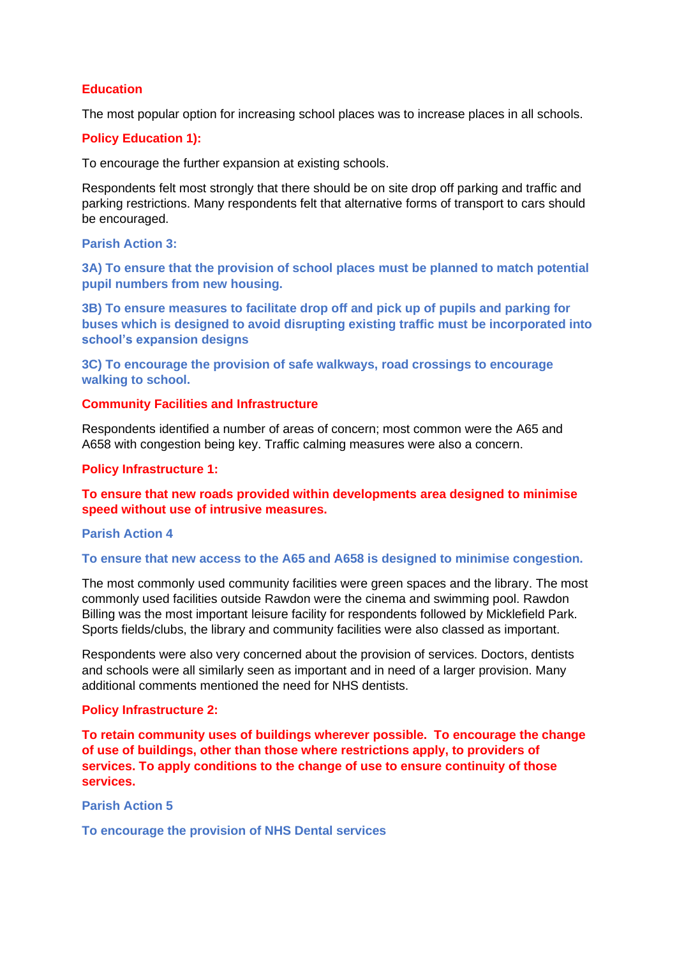# **Education**

The most popular option for increasing school places was to increase places in all schools.

## **Policy Education 1):**

To encourage the further expansion at existing schools.

Respondents felt most strongly that there should be on site drop off parking and traffic and parking restrictions. Many respondents felt that alternative forms of transport to cars should be encouraged.

# **Parish Action 3:**

**3A) To ensure that the provision of school places must be planned to match potential pupil numbers from new housing.**

**3B) To ensure measures to facilitate drop off and pick up of pupils and parking for buses which is designed to avoid disrupting existing traffic must be incorporated into school's expansion designs** 

**3C) To encourage the provision of safe walkways, road crossings to encourage walking to school.**

# **Community Facilities and Infrastructure**

Respondents identified a number of areas of concern; most common were the A65 and A658 with congestion being key. Traffic calming measures were also a concern.

### **Policy Infrastructure 1:**

**To ensure that new roads provided within developments area designed to minimise speed without use of intrusive measures.**

#### **Parish Action 4**

## **To ensure that new access to the A65 and A658 is designed to minimise congestion.**

The most commonly used community facilities were green spaces and the library. The most commonly used facilities outside Rawdon were the cinema and swimming pool. Rawdon Billing was the most important leisure facility for respondents followed by Micklefield Park. Sports fields/clubs, the library and community facilities were also classed as important.

Respondents were also very concerned about the provision of services. Doctors, dentists and schools were all similarly seen as important and in need of a larger provision. Many additional comments mentioned the need for NHS dentists.

### **Policy Infrastructure 2:**

**To retain community uses of buildings wherever possible. To encourage the change of use of buildings, other than those where restrictions apply, to providers of services. To apply conditions to the change of use to ensure continuity of those services.**

**Parish Action 5**

**To encourage the provision of NHS Dental services**